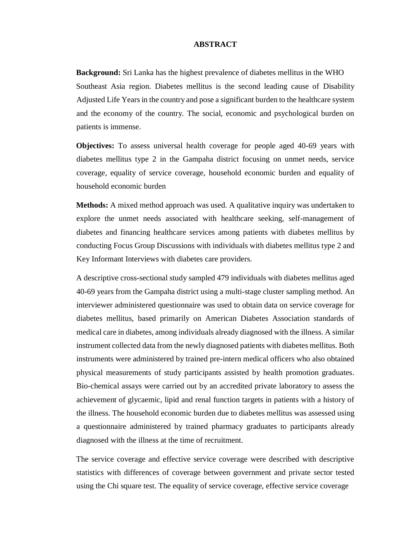## **ABSTRACT**

**Background:** Sri Lanka has the highest prevalence of diabetes mellitus in the WHO Southeast Asia region. Diabetes mellitus is the second leading cause of Disability Adjusted Life Years in the country and pose a significant burden to the healthcare system and the economy of the country. The social, economic and psychological burden on patients is immense.

**Objectives:** To assess universal health coverage for people aged 40-69 years with diabetes mellitus type 2 in the Gampaha district focusing on unmet needs, service coverage, equality of service coverage, household economic burden and equality of household economic burden

**Methods:** A mixed method approach was used. A qualitative inquiry was undertaken to explore the unmet needs associated with healthcare seeking, self-management of diabetes and financing healthcare services among patients with diabetes mellitus by conducting Focus Group Discussions with individuals with diabetes mellitus type 2 and Key Informant Interviews with diabetes care providers.

A descriptive cross-sectional study sampled 479 individuals with diabetes mellitus aged 40-69 years from the Gampaha district using a multi-stage cluster sampling method. An interviewer administered questionnaire was used to obtain data on service coverage for diabetes mellitus, based primarily on American Diabetes Association standards of medical care in diabetes, among individuals already diagnosed with the illness. A similar instrument collected data from the newly diagnosed patients with diabetes mellitus. Both instruments were administered by trained pre-intern medical officers who also obtained physical measurements of study participants assisted by health promotion graduates. Bio-chemical assays were carried out by an accredited private laboratory to assess the achievement of glycaemic, lipid and renal function targets in patients with a history of the illness. The household economic burden due to diabetes mellitus was assessed using a questionnaire administered by trained pharmacy graduates to participants already diagnosed with the illness at the time of recruitment.

The service coverage and effective service coverage were described with descriptive statistics with differences of coverage between government and private sector tested using the Chi square test. The equality of service coverage, effective service coverage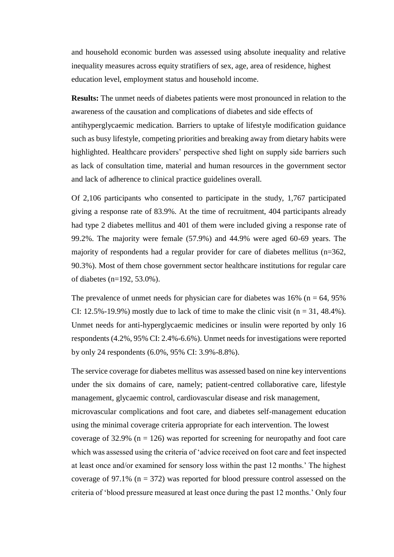and household economic burden was assessed using absolute inequality and relative inequality measures across equity stratifiers of sex, age, area of residence, highest education level, employment status and household income.

**Results:** The unmet needs of diabetes patients were most pronounced in relation to the awareness of the causation and complications of diabetes and side effects of antihyperglycaemic medication. Barriers to uptake of lifestyle modification guidance such as busy lifestyle, competing priorities and breaking away from dietary habits were highlighted. Healthcare providers' perspective shed light on supply side barriers such as lack of consultation time, material and human resources in the government sector and lack of adherence to clinical practice guidelines overall.

Of 2,106 participants who consented to participate in the study, 1,767 participated giving a response rate of 83.9%. At the time of recruitment, 404 participants already had type 2 diabetes mellitus and 401 of them were included giving a response rate of 99.2%. The majority were female (57.9%) and 44.9% were aged 60-69 years. The majority of respondents had a regular provider for care of diabetes mellitus (n=362, 90.3%). Most of them chose government sector healthcare institutions for regular care of diabetes (n=192, 53.0%).

The prevalence of unmet needs for physician care for diabetes was  $16\%$  (n = 64, 95%) CI: 12.5%-19.9%) mostly due to lack of time to make the clinic visit  $(n = 31, 48.4\%)$ . Unmet needs for anti-hyperglycaemic medicines or insulin were reported by only 16 respondents (4.2%, 95% CI: 2.4%-6.6%). Unmet needs for investigations were reported by only 24 respondents (6.0%, 95% CI: 3.9%-8.8%).

The service coverage for diabetes mellitus was assessed based on nine key interventions under the six domains of care, namely; patient-centred collaborative care, lifestyle management, glycaemic control, cardiovascular disease and risk management, microvascular complications and foot care, and diabetes self-management education using the minimal coverage criteria appropriate for each intervention. The lowest coverage of 32.9% ( $n = 126$ ) was reported for screening for neuropathy and foot care which was assessed using the criteria of 'advice received on foot care and feet inspected at least once and/or examined for sensory loss within the past 12 months.' The highest coverage of 97.1% ( $n = 372$ ) was reported for blood pressure control assessed on the criteria of 'blood pressure measured at least once during the past 12 months.' Only four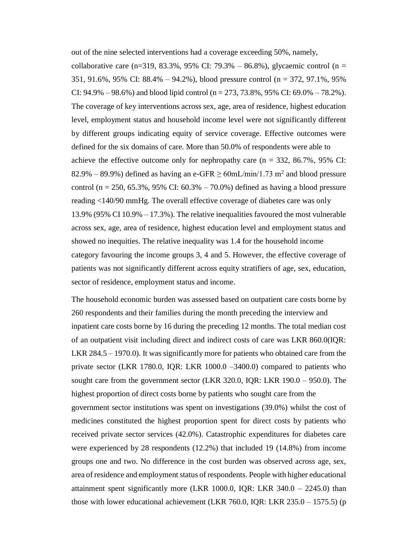out of the nine selected interventions had a coverage exceeding 50%, namely,

collaborative care (n=319, 83.3%, 95% CI: 79.3% – 86.8%), glycaemic control (n = 351, 91.6%, 95% CI: 88.4% – 94.2%), blood pressure control (n = 372, 97.1%, 95% CI:  $94.9\% - 98.6\%$ ) and blood lipid control (n = 273, 73.8%, 95% CI:  $69.0\% - 78.2\%$ ). The coverage of key interventions across sex, age, area of residence, highest education level, employment status and household income level were not significantly different by different groups indicating equity of service coverage. Effective outcomes were defined for the six domains of care. More than 50.0% of respondents were able to achieve the effective outcome only for nephropathy care  $(n = 332, 86.7\%), 95\%$  CI: 82.9% – 89.9%) defined as having an e-GFR  $\geq$  60mL/min/1.73 m<sup>2</sup> and blood pressure control (n = 250, 65.3%, 95% CI:  $60.3\% - 70.0\%$ ) defined as having a blood pressure reading <140/90 mmHg. The overall effective coverage of diabetes care was only 13.9% (95% CI 10.9% – 17.3%). The relative inequalities favoured the most vulnerable across sex, age, area of residence, highest education level and employment status and showed no inequities. The relative inequality was 1.4 for the household income category favouring the income groups 3, 4 and 5. However, the effective coverage of patients was not significantly different across equity stratifiers of age, sex, education, sector of residence, employment status and income.

The household economic burden was assessed based on outpatient care costs borne by 260 respondents and their families during the month preceding the interview and inpatient care costs borne by 16 during the preceding 12 months. The total median cost of an outpatient visit including direct and indirect costs of care was LKR 860.0(IQR: LKR 284.5 – 1970.0). It was significantly more for patients who obtained care from the private sector (LKR 1780.0, IQR: LKR 1000.0 –3400.0) compared to patients who sought care from the government sector (LKR 320.0, IQR: LKR 190.0 – 950.0). The highest proportion of direct costs borne by patients who sought care from the government sector institutions was spent on investigations (39.0%) whilst the cost of medicines constituted the highest proportion spent for direct costs by patients who received private sector services (42.0%). Catastrophic expenditures for diabetes care were experienced by 28 respondents (12.2%) that included 19 (14.8%) from income groups one and two. No difference in the cost burden was observed across age, sex, area of residence and employment status of respondents. People with higher educational attainment spent significantly more (LKR 1000.0, IQR: LKR  $340.0 - 2245.0$ ) than those with lower educational achievement (LKR 760.0, IQR: LKR 235.0 – 1575.5) (p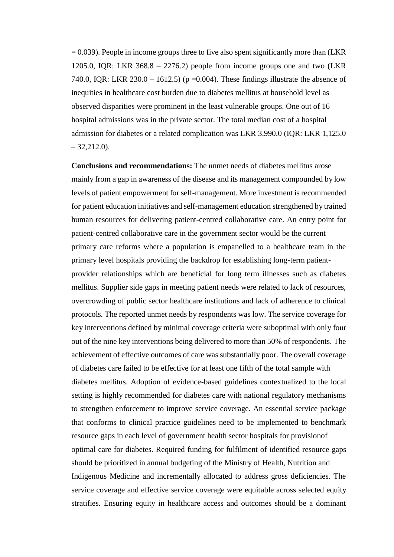$= 0.039$ ). People in income groups three to five also spent significantly more than (LKR) 1205.0, IQR: LKR  $368.8 - 2276.2$ ) people from income groups one and two (LKR 740.0, IQR: LKR 230.0 – 1612.5) ( $p = 0.004$ ). These findings illustrate the absence of inequities in healthcare cost burden due to diabetes mellitus at household level as observed disparities were prominent in the least vulnerable groups. One out of 16 hospital admissions was in the private sector. The total median cost of a hospital admission for diabetes or a related complication was LKR 3,990.0 (IQR: LKR 1,125.0  $-32,212,0$ .

**Conclusions and recommendations:** The unmet needs of diabetes mellitus arose mainly from a gap in awareness of the disease and its management compounded by low levels of patient empowerment for self-management. More investment is recommended for patient education initiatives and self-management education strengthened by trained human resources for delivering patient-centred collaborative care. An entry point for patient-centred collaborative care in the government sector would be the current primary care reforms where a population is empanelled to a healthcare team in the primary level hospitals providing the backdrop for establishing long-term patientprovider relationships which are beneficial for long term illnesses such as diabetes mellitus. Supplier side gaps in meeting patient needs were related to lack of resources, overcrowding of public sector healthcare institutions and lack of adherence to clinical protocols. The reported unmet needs by respondents was low. The service coverage for key interventions defined by minimal coverage criteria were suboptimal with only four out of the nine key interventions being delivered to more than 50% of respondents. The achievement of effective outcomes of care was substantially poor. The overall coverage of diabetes care failed to be effective for at least one fifth of the total sample with diabetes mellitus. Adoption of evidence-based guidelines contextualized to the local setting is highly recommended for diabetes care with national regulatory mechanisms to strengthen enforcement to improve service coverage. An essential service package that conforms to clinical practice guidelines need to be implemented to benchmark resource gaps in each level of government health sector hospitals for provisionof optimal care for diabetes. Required funding for fulfilment of identified resource gaps should be prioritized in annual budgeting of the Ministry of Health, Nutrition and Indigenous Medicine and incrementally allocated to address gross deficiencies. The service coverage and effective service coverage were equitable across selected equity stratifies. Ensuring equity in healthcare access and outcomes should be a dominant